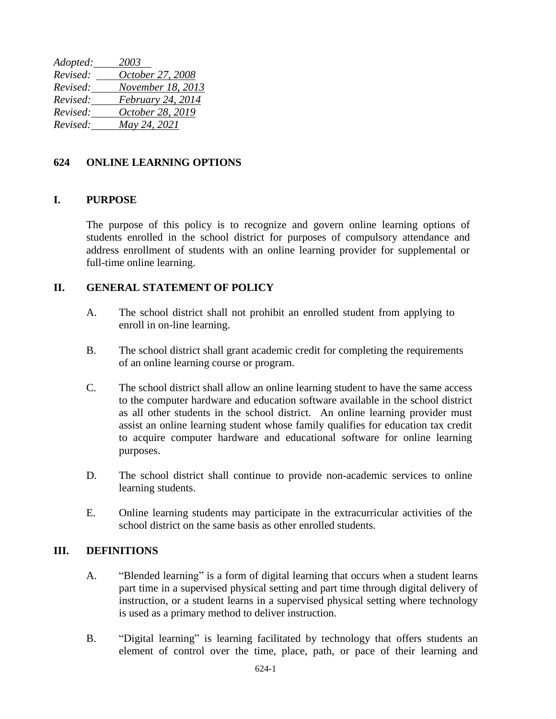*Adopted: 2003 Revised: October 27, 2008 Revised: November 18, 2013 Revised: February 24, 2014 Revised: October 28, 2019 Revised: May 24, 2021*

## **624 ONLINE LEARNING OPTIONS**

## **I. PURPOSE**

The purpose of this policy is to recognize and govern online learning options of students enrolled in the school district for purposes of compulsory attendance and address enrollment of students with an online learning provider for supplemental or full-time online learning.

### **II. GENERAL STATEMENT OF POLICY**

- A. The school district shall not prohibit an enrolled student from applying to enroll in on-line learning.
- B. The school district shall grant academic credit for completing the requirements of an online learning course or program.
- C. The school district shall allow an online learning student to have the same access to the computer hardware and education software available in the school district as all other students in the school district. An online learning provider must assist an online learning student whose family qualifies for education tax credit to acquire computer hardware and educational software for online learning purposes.
- D. The school district shall continue to provide non-academic services to online learning students.
- E. Online learning students may participate in the extracurricular activities of the school district on the same basis as other enrolled students.

#### **III. DEFINITIONS**

- A. "Blended learning" is a form of digital learning that occurs when a student learns part time in a supervised physical setting and part time through digital delivery of instruction, or a student learns in a supervised physical setting where technology is used as a primary method to deliver instruction.
- B. "Digital learning" is learning facilitated by technology that offers students an element of control over the time, place, path, or pace of their learning and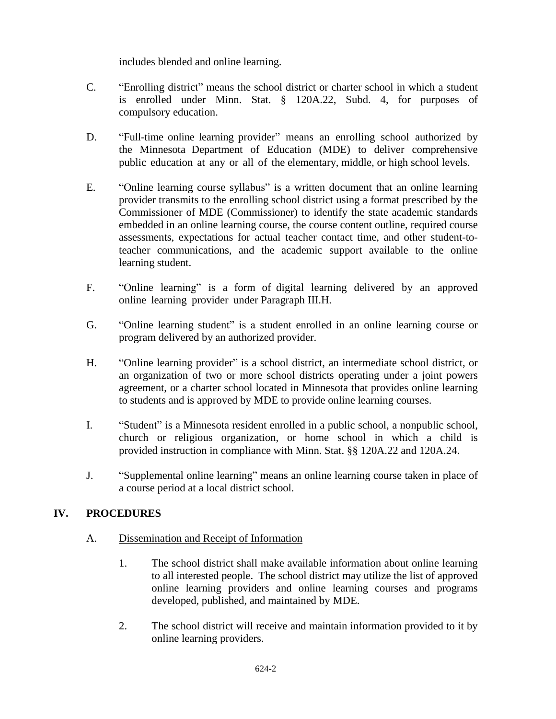includes blended and online learning.

- C. "Enrolling district" means the school district or charter school in which a student is enrolled under Minn. Stat. § 120A.22, Subd. 4, for purposes of compulsory education.
- D. "Full-time online learning provider" means an enrolling school authorized by the Minnesota Department of Education (MDE) to deliver comprehensive public education at any or all of the elementary, middle, or high school levels.
- E. "Online learning course syllabus" is a written document that an online learning provider transmits to the enrolling school district using a format prescribed by the Commissioner of MDE (Commissioner) to identify the state academic standards embedded in an online learning course, the course content outline, required course assessments, expectations for actual teacher contact time, and other student-toteacher communications, and the academic support available to the online learning student.
- F. "Online learning" is a form of digital learning delivered by an approved online learning provider under Paragraph III.H.
- G. "Online learning student" is a student enrolled in an online learning course or program delivered by an authorized provider.
- H. "Online learning provider" is a school district, an intermediate school district, or an organization of two or more school districts operating under a joint powers agreement, or a charter school located in Minnesota that provides online learning to students and is approved by MDE to provide online learning courses.
- I. "Student" is a Minnesota resident enrolled in a public school, a nonpublic school, church or religious organization, or home school in which a child is provided instruction in compliance with Minn. Stat. §§ 120A.22 and 120A.24.
- J. "Supplemental online learning" means an online learning course taken in place of a course period at a local district school.

# **IV. PROCEDURES**

- A. Dissemination and Receipt of Information
	- 1. The school district shall make available information about online learning to all interested people. The school district may utilize the list of approved online learning providers and online learning courses and programs developed, published, and maintained by MDE.
	- 2. The school district will receive and maintain information provided to it by online learning providers.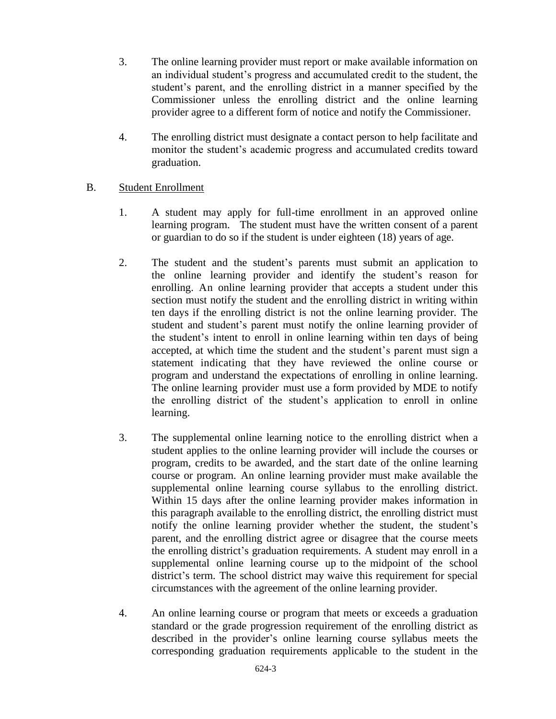- 3. The online learning provider must report or make available information on an individual student's progress and accumulated credit to the student, the student's parent, and the enrolling district in a manner specified by the Commissioner unless the enrolling district and the online learning provider agree to a different form of notice and notify the Commissioner.
- 4. The enrolling district must designate a contact person to help facilitate and monitor the student's academic progress and accumulated credits toward graduation.

## B. Student Enrollment

- 1. A student may apply for full-time enrollment in an approved online learning program. The student must have the written consent of a parent or guardian to do so if the student is under eighteen (18) years of age.
- 2. The student and the student's parents must submit an application to the online learning provider and identify the student's reason for enrolling. An online learning provider that accepts a student under this section must notify the student and the enrolling district in writing within ten days if the enrolling district is not the online learning provider. The student and student's parent must notify the online learning provider of the student's intent to enroll in online learning within ten days of being accepted, at which time the student and the student's parent must sign a statement indicating that they have reviewed the online course or program and understand the expectations of enrolling in online learning. The online learning provider must use a form provided by MDE to notify the enrolling district of the student's application to enroll in online learning.
- 3. The supplemental online learning notice to the enrolling district when a student applies to the online learning provider will include the courses or program, credits to be awarded, and the start date of the online learning course or program. An online learning provider must make available the supplemental online learning course syllabus to the enrolling district. Within 15 days after the online learning provider makes information in this paragraph available to the enrolling district, the enrolling district must notify the online learning provider whether the student, the student's parent, and the enrolling district agree or disagree that the course meets the enrolling district's graduation requirements. A student may enroll in a supplemental online learning course up to the midpoint of the school district's term. The school district may waive this requirement for special circumstances with the agreement of the online learning provider.
- 4. An online learning course or program that meets or exceeds a graduation standard or the grade progression requirement of the enrolling district as described in the provider's online learning course syllabus meets the corresponding graduation requirements applicable to the student in the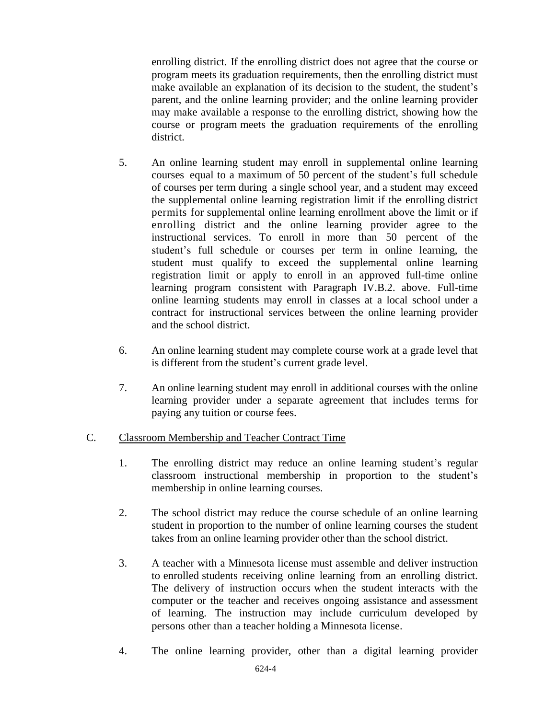enrolling district. If the enrolling district does not agree that the course or program meets its graduation requirements, then the enrolling district must make available an explanation of its decision to the student, the student's parent, and the online learning provider; and the online learning provider may make available a response to the enrolling district, showing how the course or program meets the graduation requirements of the enrolling district.

- 5. An online learning student may enroll in supplemental online learning courses equal to a maximum of 50 percent of the student's full schedule of courses per term during a single school year, and a student may exceed the supplemental online learning registration limit if the enrolling district permits for supplemental online learning enrollment above the limit or if enrolling district and the online learning provider agree to the instructional services. To enroll in more than 50 percent of the student's full schedule or courses per term in online learning, the student must qualify to exceed the supplemental online learning registration limit or apply to enroll in an approved full-time online learning program consistent with Paragraph IV.B.2. above. Full-time online learning students may enroll in classes at a local school under a contract for instructional services between the online learning provider and the school district.
- 6. An online learning student may complete course work at a grade level that is different from the student's current grade level.
- 7. An online learning student may enroll in additional courses with the online learning provider under a separate agreement that includes terms for paying any tuition or course fees.

## C. Classroom Membership and Teacher Contract Time

- 1. The enrolling district may reduce an online learning student's regular classroom instructional membership in proportion to the student's membership in online learning courses.
- 2. The school district may reduce the course schedule of an online learning student in proportion to the number of online learning courses the student takes from an online learning provider other than the school district.
- 3. A teacher with a Minnesota license must assemble and deliver instruction to enrolled students receiving online learning from an enrolling district. The delivery of instruction occurs when the student interacts with the computer or the teacher and receives ongoing assistance and assessment of learning. The instruction may include curriculum developed by persons other than a teacher holding a Minnesota license.
- 4. The online learning provider, other than a digital learning provider